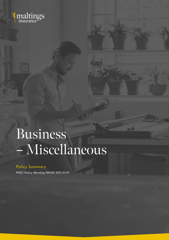

# Business – Miscellaneous

 $-3$ 

# Policy Summary

MISC Policy Wording MHGB 2021.01.01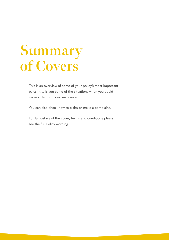# **Summary of Covers**

This is an overview of some of your policy's most important parts. It tells you some of the situations when you could make a claim on your insurance.

You can also check how to claim or make a complaint.

For full details of the cover, terms and conditions please see the full Policy wording.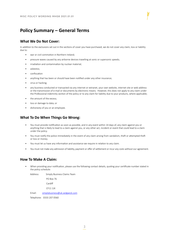# **Policy Summary – General Terms**

# **What We Do Not Cover:**

In addition to the exclusions set out in the sections of cover you have purchased, we do not cover any claim, loss or liability due to:

- war or civil commotion in Northern Ireland;
- pressure waves caused by any airborne devices travelling at sonic or supersonic speeds;
- irradiation and contamination by nuclear material;
- asbestos:
- confiscation
- anything that has been or should have been notified under any other insurance;
- virus or hacking;
- any business conducted or transacted via any internet or extranet, your own website, internet site or web address or the transmission of e-mail or documents by electronic means. However, this does not apply to any claim under the Professional indemnity section of the policy or to any claim for liability due to your products, where applicable;
- the amount of the excess;
- loss or damage to data; or
- dishonesty of you or an employee.

## **What To Do When Things Go Wrong:**

- You must provide notification as soon as possible, and in any event within 14 days of, any claim against you or anything that is likely to lead to a claim against you, or any other act, incident or event that could lead to a claim under the policy.
- You must notify the police immediately in the event of any claim arising from vandalism, theft or attempted theft or loss or money.
- You must let us have any information and assistance we require in relation to any claim.
- You must not make any admission of liability, payment or offer of settlement or incur any costs without our agreement.

## **How To Make A Claim:**

• When providing your notification, please use the following contact details, quoting your certificate number stated in the policy schedule:

Address: Simply Business Claims Team

PO Box 76

Cardiff

CF11 1JX

Email: simplybusiness@uk.sedgwick.com

Telephone: 0333 207 0560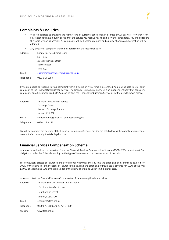#### **Complaints & Enquiries:**

- We are dedicated to providing the highest level of customer satisfaction in all areas of Our business. However, if for any reason You have a query or feel that the service You receive has fallen below those standards, You should report this to Us at soon as possible. All complaints will be handled promptly and a policy of open communication will be adopted.
- Any enquiry or complaint should be addressed in the first instance to:

| Address:   | Simply Business Claims Team           |
|------------|---------------------------------------|
|            | Sol House                             |
|            | 29 St Katherine's Street              |
|            | Northampton                           |
|            | NN1 2QZ                               |
| Email:     | customerservices@simplybusiness.co.uk |
| Telephone: | 0333 014 6683                         |

If We are unable to respond to Your complaint within 8 weeks or if You remain dissatisfied, You may be able to refer Your complaint to the Financial Ombudsman Service. The Financial Ombudsman Service is an independent body that considers complaints about insurance products. You can contact the Financial Ombudsman Service using the details shown below:

| Address:   | Financial Ombudsman Service               |
|------------|-------------------------------------------|
|            | Exchange Tower                            |
|            | Harbour Exchange Square                   |
|            | London, E14 9SR                           |
| Email:     | complaint.info@financial-ombudsman.org.uk |
| Telephone: | 0330 123 9 123                            |

We will be bound by any decision of the Financial Ombudsman Service, but You are not. Following the complaints procedure does not affect Your right to take legal action.

## **Financial Services Compensation Scheme**

You may be entitled to compensation from the Financial Services Compensation Scheme (FSCS) if We cannot meet Our obligations under the Policy, depending on the type of business and the circumstances of the claim.

For compulsory classes of insurance and professional indemnity, the advising and arranging of insurance is covered for 100% of the claim. For other classes of insurance the advising and arranging of insurance is covered for 100% of the first £2,000 of a claim and 90% of the remainder of the claim. There is no upper limit in either case.

You can contact the Financial Services Compensation Scheme using the details below:

| Address:   | Financial Services Compensation Scheme |
|------------|----------------------------------------|
|            | 10th Floor Beaufort House              |
|            | 15 St Botolph Street                   |
|            | London, EC3A 7QU                       |
| Email:     | enquiries@fscs.org.uk                  |
| Telephone: | 0800 678 1100 or 020 7741 4100         |
| Website:   | www.fscs.org.uk                        |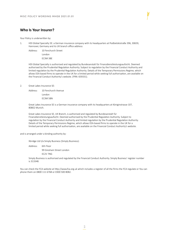# **Who Is Your Insurer?**

Your Policy is underwritten by:

1. HDI Global Specialty SE: a German insurance company with its headquarters at Podbielskistraße 396, 30659, Hannover, Germany and its UK branch office address:

Address: 10 Fenchurch Street

London EC3M 3BE

HDI Global Specialty is authorised and regulated by Bundesanstalt für Finanzdienstleistungsaufsicht. Deemed authorised by the Prudential Regulation Authority. Subject to regulation by the Financial Conduct Authority and limited regulation by the Prudential Regulation Authority. Details of the Temporary Permissions Regime, which allows EEA-based firms to operate in the UK for a limited period while seeking full authorisation, are available on the Financial Conduct Authority's website. (FRN: 659331).

#### 2. Great Lakes Insurance SE:

Address: 10 Fenchurch Avenue London

EC3M 5BN

Great Lakes Insurance SE is a German insurance company with its headquarters at Königinstrasse 107, 80802 Munich.

Great Lakes Insurance SE, UK Branch, is authorised and regulated by Bundesanstalt für Finanzdienstleistungsaufsicht. Deemed authorised by the Prudential Regulation Authority. Subject to regulation by the Financial Conduct Authority and limited regulation by the Prudential Regulation Authority. Details of the Temporary Permissions Regime, which allows EEA-based firms to operate in the UK for a limited period while seeking full authorisation, are available on the Financial Conduct Authority's website.

and is arranged under a binding authority by:

Xbridge Ltd t/a Simply Business (Simply Business):

Address: 6th Floor

99 Gresham Street London EC2V 7NG

Simply Business is authorised and regulated by the Financial Conduct Authority. Simply Business' register number is 313348.

You can check the FCA website at http://www.fca.org.uk which includes a register of all the firms the FCA regulate or You can phone them on 0800 111 6768 or 0300 500 8082.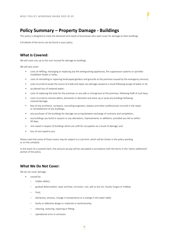# **Policy Summary – Property Damage - Buildings**

This policy is designed to meet the demands and needs of businesses who want cover for damage to their buildings.

Full details of the terms can be found in your policy.

## **What Is Covered:**

We will cover you up to the sum insured for damage to buildings.

We will also cover:

- costs of refilling, recharging or replacing any fire extinguishing appliances, fire suppression systems or sprinkler installation heads or tanks;
- costs of reinstating or repairing landscaped gardens and grounds at the premises caused by the emergency services;
- costs incurred to locate the source of a leak and repair any damage caused as a result following escape of water or oil;
- accidental loss of metered water;
- costs of replacing the locks for the premises or any safe or strongroom at the premises, following theft of such keys;
- costs incurred to remove debris, dismantle or demolish and shore up or prop any buildings following covered damage;
- fees of any architects, surveyors, consulting engineers, lawyers and other professionals incurred in the repair or reinstatement of any buildings;
- any purchaser of the buildings for damage occurring between exchange of contracts and completion;
- any buildings you build or acquire or any alterations, improvements or additions, provided you tell us within 30 days;
- rent owed in respect of buildings which are unfit for occupation as a result of damage; and
- loss of rent owed to you.

Please note that some of these covers may be subject to a sub-limit, which will be shown in the policy wording or on the schedule.

In the event of a covered claim, the amount we pay will be calculated in accordance with the terms in the 'claims settlement' section of the policy.

## **What We Do Not Cover:**

We do not cover damage:

- caused by:
	- hidden defect;
	- gradual deterioration, wear and tear, corrosion, rust, wet or dry rot, mould, fungus or mildew;
	- frost:
	- dampness, dryness, change in temperature or a change in the water table;
	- faulty or defective design or materials or workmanship;
	- cleaning, restoring, repairing or fitting;
	- operational error or omission;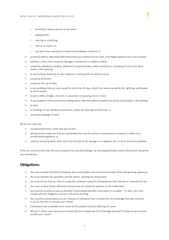- bursting by steam pressure of any boiler;
- leaking joints;
- marring or scratching;
- vermin or insects; or
- any items own mechanical or electrical breakdown or failure; or
- caused by theft or attempted theft where force and violence are not used, or by illegal activity by you or an occupier;
- pollution, unless itself caused by damage or arising from a sudden incident;
- caused by subsidence, landslip, settlement or ground heave, unless caused by or consisting of one of the items shown in the wording;
- to any building caused by its own collapse or cracking with no external cause;
- caused by terrorism;
- caused by the use of heat;
- to any buildings that are unoccupied for more than 45 days, other than where caused by fire, lightning, earthquake or aerial impact;
- to piers, jetties, bridges, channels or excavations or growing stock or trees;
- to any property in the course of any building works, other than where caused by one of the causes shown in the wording;
- to land;
- to buildings of non-standard construction, unless we have agreed otherwise; or
- caused by stoppage of work.

We do not cover any:

- consequential losses, other than loss of rent;
- extinguishment expenses that are recoverable from the fire service or maintenance company or relate to an unmaintained appliance; or
- costs for removing debris other than from the site of the damage or an adjacent site, or which arise from pollution.

If the sum insured is less than the cost to replace the covered buildings, we can proportionately reduce the amount we pay for any covered loss.

## **Obligations:**

- You must maintain and close all firebreak doors and shutters and service and maintain all fire extinguishing appliances.
- You must maintain any sprinklers and fire alarms, carrying out routine tests.
- You must ensure that you have an inspection contract in place for all equipment that requires an inspection by law.
- You must remove all keys whenever the premises are closed for business or are unattended.
- You must let us know as soon as possible if any building becomes unoccupied or occupied. If it does, you must comply with the obligations set out in the policy wording.
- You must let us know about any act, omission or alteration that increases the risk of damage that was unknown to you at the time or outside your control.
- Contractors may undertake minor works at the property without affecting the cover.
- We won't refuse cover because of something that increases the risk of damage that wasn't known to you and was outside your control.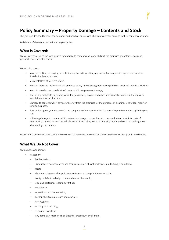# **Policy Summary – Property Damage – Contents and Stock**

This policy is designed to meet the demands and needs of businesses who want cover for damage to their contents and stock.

Full details of the terms can be found in your policy.

#### **What Is Covered:**

We will cover you up to the sum insured for damage to contents and stock whilst at the premises or contents, stock and personal effects whilst in transit.

We will also cover:

- costs of refilling, recharging or replacing any fire extinguishing appliances, fire suppression systems or sprinkler installation heads or tanks;
- accidental loss of metered water;
- costs of replacing the locks for the premises or any safe or strongroom at the premises, following theft of such keys;
- costs incurred to remove debris of contents following covered damage;
- fees of any architects, surveyors, consulting engineers, lawyers and other professionals incurred in the repair or reinstatement of any buildings;
- damage to contents whilst temporarily away from the premises for the purposes of cleaning, renovation, repair or similar purposes;
- loss or damage to your documents and computer system records whilst temporarily premises not occupied by you; and
- following damage to contents whilst in transit, damage to tarpaulin and ropes on the transit vehicle, costs of transferring contents to another vehicle, costs of re-loading, costs of removing debris and costs of breaking up or dismantling the contents.

Please note that some of these covers may be subject to a sub-limit, which will be shown in the policy wording or on the schedule.

## **What We Do Not Cover:**

We do not cover damage:

- caused by:
	- hidden defect;
	- gradual deterioration, wear and tear, corrosion, rust, wet or dry rot, mould, fungus or mildew;
	- frost;
	- dampness, dryness, change in temperature or a change in the water table;
	- faulty or defective design or materials or workmanship;
	- cleaning, restoring, repairing or fitting;
	- subsidence;
	- operational error or omission;
	- bursting by steam pressure of any boiler;
	- leaking joints;
	- marring or scratching;
	- vermin or insects; or
	- any items own mechanical or electrical breakdown or failure; or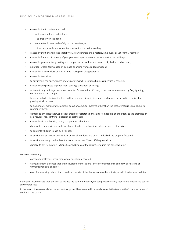- caused by theft or attempted theft:
	- not involving force and violence;
	- - to property in the open;
	- committed by anyone lawfully on the premises; or
	- of money, jewellery or other items set out in the policy wording;
- caused by theft or attempted theft by you, your partners and directors, employees or your family members;
- caused by fraud or dishonesty of you, your employee or anyone responsible for the buildings;
- caused by you voluntarily parting with property as a result of a scheme, trick, device or false claim;
- pollution, unless itself caused by damage or arising from a sudden incident;
- caused by inventory loss or unexplained shortage or disappearance;
- caused by terrorism;
- to any item in the open, fences or gates or items whilst in transit, unless specifically covered;
- caused by any process of production, packing, treatment or testing;
- to items in any buildings that are unoccupied for more than 45 days, other than where caused by fire, lightning, earthquake or aerial impact;
- to motor vehicles designed or licensed for road use, piers, jetties, bridges, channels or excavations or livestock, growing stock or trees;
- to documents, manuscripts, business books or computer systems, other than the cost of materials and labour to reproduce them;
- damage to any glass that was already cracked or scratched or arising from repairs or alterations to the premises or as a result of fire, lightning, explosion or earthquake;
- caused by virus or hacking to any computer or other item;
- damage to contents in any building of non-standard construction, unless we agree otherwise;
- to contents whilst in transit by air or sea;
- to any item in an unattended vehicle, unless all windows and doors are locked and properly fastened;
- to any item underground unless it is stored more than 15 cm off the ground; or
- damage to any item whilst in transit caused by any of the causes set out in the policy wording.

We do not cover any:

- consequential losses, other than where specifically covered;
- extinguishment expenses that are recoverable from the fire service or maintenance company or relate to an unmaintained appliance; or
- costs for removing debris other than from the site of the damage or an adjacent site, or which arise from pollution.

If the sum insured is less than the cost to replace the covered property, we can proportionately reduce the amount we pay for any covered loss.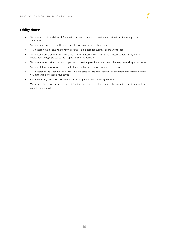# **Obligations:**

- You must maintain and close all firebreak doors and shutters and service and maintain all fire extinguishing appliances.
- You must maintain any sprinklers and fire alarms, carrying out routine tests.
- You must remove all keys whenever the premises are closed for business or are unattended.
- You must ensure that all water meters are checked at least once a month and a report kept, with any unusual fluctuations being reported to the supplier as soon as possible.
- You must ensure that you have an inspection contract in place for all equipment that requires an inspection by law.
- You must let us know as soon as possible if any building becomes unoccupied or occupied.
- You must let us know about any act, omission or alteration that increases the risk of damage that was unknown to you at the time or outside your control.
- Contractors may undertake minor works at the property without affecting the cover.
- We won't refuse cover because of something that increases the risk of damage that wasn't known to you and was outside your control.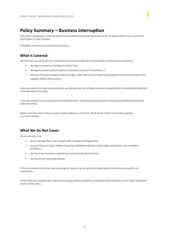# **Policy Summary – Business Interruption**

This policy is designed to meet the demands and needs of businesses who want cover for losses suffered as a result of an interruption to their business.

Full details of terms can be found in your policy.

# **What Is Covered:**

We will cover you up to the sum insured for your losses arising from an interruption to the business caused by:

- damage to property, including at contract sites;
- damage to property which impacts or prevents access to the premises; or
- failure to the public supply of electricity, gas, water, electricity or telecommunications to the terminal ends of the suppliers feed to the premises.

If you are covered on a gross revenue basis, we will pay your loss of gross revenue, increased costs of working and additional increased costs of working.

If you are covered on an increased costs of working basis, we will pay increased costs of working and additional increased costs of working.

Please note that some of these covers may be subject to a sub-limit, which will be shown in the policy wording or on the schedule.

# **What We Do Not Cover:**

We do not cover loss:

- due to damage that is not insured under a property damage policy;
- due to a failure in public utilities caused by a deliberate decision of the supply authority or due to weather conditions;
- any loss if your business is wound up or permanently discontinued;
- due to any communicable disease.

If the sum insured is less than your annual gross revenue, we can proportionately reduce the amount we pay for any covered loss.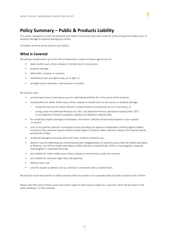# **Policy Summary – Public & Products Liability**

This policy is designed to meet the demands and needs of businesses who want cover for claims arising from bodily injury or property damage to property belonging to others.

Full details of terms can be found in your policy.

## **What Is Covered:**

We will pay compensation up to the limit of indemnity in respect of claims against you for:

- death, bodily injury, illness, disease or mental injury to any person;
- property damage;
- obstruction, trespass or nuisance;
- interference with any right of way, air or light; or
- wrongful arrest, detention, imprisonment or eviction.

#### We will also cover:

- any principal of yours and anyone you are undertaking activities for in the course of the business;
- compensation for death, bodily injury, illness, disease or mental injury to any person or property damage:
	- rising from the use of a motor vehicle in certain limited circumstances set out in the policy; or
	- arising under the Defective Premises Act 1972, the Defective Premises (Northern Ireland) Order 1975 or the Defective Premises (Landlord's Liability) Act (Northern Ireland) 2001;
- for accidental property damage to employees' and visitors' vehicles and personal property in your custody or control;
- your, or any partner, director or employee of you (including any spouses of dependent children) against liability incurred in their personal capacity whilst outside England, Scotland, Wales, Northern Ireland, the Channel Islands and the Isle of Man;
- accidental damage to premises which are hired, rented or loaned to you;
- defence costs for defending any criminal prosecution alleging breach of statutory duty under the Health and Safety at Work etc. Act 1974 or Health and Safety at Work (Northern Ireland) Order 1978, or manslaughter, corporate manslaughter or corporate homicide;
- your liability for death, bodily injury, illness, disease or mental injury under any contract;
- your liability for claimants legal costs and expenses;
- defence costs; and
- costs for anyone to attend court as a witness in connection with a covered claim.

We will also insure each person or entity covered under this section as if a separate policy has been issued to each of them.

Please note that some of these covers and certain types of claim may be subject to a sub-limit, which will be shown in the policy wording or on the schedule.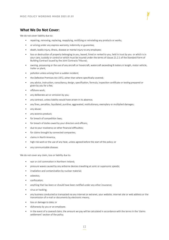## **What We Do Not Cover:**

We do not cover liability due to:

- repairing, removing, replacing, reapplying, rectifying or reinstating any products or works;
- or arising under any express warranty, indemnity or guarantee;
- death, bodily injury, illness, disease or mental injury to any employee;
- loss or destruction of property belonging to you, leased, hired or rented to you, held in trust by you or which is in your care, custody or control or which must be insured under the terms of clause 21.2.1 of the Standard Form of Building Contract issued by the Joint Contracts Tribunal;
- owning, possessing or the use of any aircraft or hovercraft, watercraft exceeding 8 meters in length, motor vehicle, trailer or plant;
- pollution unless arising from a sudden incident;
- the Defective Premises Act 1972, other than where specifically covered;
- any advice, instruction, consultancy, design, specification, formula, inspection certificate or testing prepared or given by you for a fee;
- offshore work;
- any deliberate act or omission by you;
- any contract, unless liability would have arisen in its absence;
- any fines, penalties, liquidated, punitive, aggravated, restitutionary, exemplary or multiplied damages;
- any abuse;
- any avionics product:
- for breach of competition laws:
- for breach of duties owed by your directors and officers;
- due to your insolvency or other financial difficulties;
- for claims brought by connected companies;
- claims in North America;
- high risk work or the use of any heat, unless agreed before the start of the policy; or
- any communicable disease.

We do not cover any claim, loss or liability due to:

- war or civil commotion in Northern Ireland;
- pressure waves caused by any airborne devices travelling at sonic or supersonic speeds;
- irradiation and contamination by nuclear material;
- asbestos;
- confiscation;
- anything that has been or should have been notified under any other insurance;
- virus or hacking;
- any business conducted or transacted via any internet or extranet, your website, internet site or web address or the transmission of e-mail or documents by electronic means;
- loss or damage to data; or
- dishonesty by you or an employee.
- In the event of a covered claim, the amount we pay will be calculated in accordance with the terms in the 'claims settlement' section of the policy.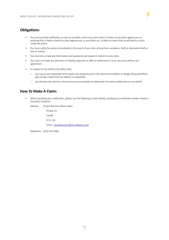# **Obligations:**

- You must provide notification as soon as possible, and in any event within 14 days of, any claim against you or anything that is likely to lead to a claim against you, or any other act, incident or event that could lead to a claim under the policy.
- You must notify the police immediately in the event of any claim arising from vandalism, theft or attempted theft or loss or money.
- You must let us have any information and assistance we require in relation to any claim.
- You must not make any admission of liability, payment or offer of settlement or incur any costs without our agreement.
- In respect of any health and safety costs:
	- we may at any reasonable time inspect any property and in the event of any defect or danger being identified, give written notice that our liability is suspended.
	- we will pass the claim to a third party service provider to administer the claims settlement on our behalf.

## **How To Make A Claim:**

• When providing your notification, please use the following contact details, quoting your certificate number stated in the policy schedule:

Address: Simply Business Claims Team

PO Box 76 Cardiff CF11 1JX Email: simplybusiness@uk.sedgwick.com

Telephone: 0333 207 0560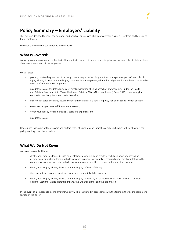# **Policy Summary – Employers' Liability**

This policy is designed to meet the demands and needs of businesses who want cover for claims arising from bodily injury to their employees.

Full details of the terms can be found in your policy.

## **What Is Covered:**

We will pay compensation up to the limit of indemnity in respect of claims brought against you for death, bodily injury, illness, disease or mental injury to an employee.

We will also:

- pay any outstanding amounts to an employee in respect of any judgment for damages in respect of death, bodily injury, illness, disease or mental injury sustained by the employee, where the judgement has not been paid in full 6 months after the date of judgment;
- pay defence costs for defending any criminal prosecution alleging breach of statutory duty under the Health and Safety at Work etc. Act 1974 or Health and Safety at Work (Northern Ireland) Order 1978, or manslaughter, corporate manslaughter or corporate homicide;
- insure each person or entity covered under this section as if a separate policy has been issued to each of them;
- cover working partners as if they are employees;
- cover your liability for claimants legal costs and expenses; and
- pay defence costs.

Please note that some of these covers and certain types of claim may be subject to a sub-limit, which will be shown in the policy wording or on the schedule.

## **What We Do Not Cover:**

We do not cover liability for:

- death, bodily injury, illness, disease or mental injury suffered by an employee whilst in or on or entering or getting onto, or alighting from, a vehicle for which insurance or security is required under any law relating to the compulsory insurance of motor vehicles, or where you are entitled to cover under any other insurance;
- death, bodily injury, illness, disease or mental injury suffered offshore;
- fines, penalties, liquidated, punitive, aggravated or multiplied damages; or
- death, bodily injury, illness, disease or mental injury suffered by an employee who is normally based outside England, Scotland, Wales, Northern Ireland, the Channel Islands and the Isle of Man.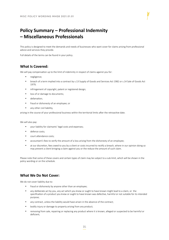# **Policy Summary – Professional Indemnity – Miscellaneous Professionals**

This policy is designed to meet the demands and needs of businesses who want cover for claims arising from professional advice and services they provide.

Full details of the terms can be found in your policy.

## **What Is Covered:**

We will pay compensation up to the limit of indemnity in respect of claims against you for:

- negligence;
- breach of a term implied into a contract by s.13 Supply of Goods and Services Act 1982 or s.14 Sale of Goods Act 1979;
- infringement of copyright, patent or registered design;
- loss of or damage to documents:
- • defamation;
- • fraud or dishonesty of an employee; or
- any other civil liability.

arising in the course of your professional business within the territorial limits after the retroactive date.

We will also pay:

- • your liability for claimants' legal costs and expenses;
- defence costs;
- court attendance costs:
- accountant's fees to verify the amount of a loss arising from the dishonesty of an employee;
- at our discretion, fees owed to you by a client or costs incurred to rectify a breach, where in our opinion doing so may prevent a client bringing a claim against you or the reduce the amount of such claim.

Please note that some of these covers and certain types of claim may be subject to a sub-limit, which will be shown in the policy wording or on the schedule.

## **What We Do Not Cover:**

We do not cover liability due to:

- fraud or dishonesty by anyone other than an employee;
- any deliberate act by you, any act which you knew or ought to have known might lead to a claim, or the specification of a product you knew or ought to have known was defective, harmful or not suitable for its intended purpose;
- any contract, unless the liability would have arisen in the absence of the contract;
- bodily injury or damage to property arising from any product;
- removing from sale, repairing or replacing any product where it is known, alleged or suspected to be harmful or deficient;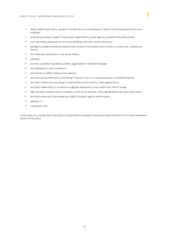- • death, bodily injury, illness, disease or mental injury to any employee or breach of any duty owed by you as an employer;
- anything you knew or ought to have known might lead to a claim against you before the policy started;
- • your ownership, possession or use of any buildings, premises, land or structures;
- • damage to property owned by, leased, hired, rented or entrusted to you or which is in your care, custody and control;
- the ownership. possession or use of any vehicle;
- pollution;
- any fines, penalties, liquidated, punitive, aggravated or multiplied damages;
- any trading loss or your insolvency;
- any director or officer acting in such capacity;
- any claim by any entity with a controlling in interest in you, or in which you have a controlling interest;
- any claim in which you are acting in a partnership or joint venture, unless agreed by us;
- any claim made within or to enforce a judgment obtained in a court within the USA or Canada;
- high risk work, unethical work or conduct, or the use of any heat, unless agreed before the start of the policy;
- any claim where you have waived your right of recovery against another party;
- • asbestos; or
- a computer virus.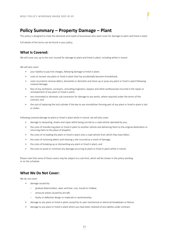# **Policy Summary – Property Damage – Plant**

This policy is designed to meet the demands and needs of businesses who want cover for damage to plant and hired in plant.

Full details of the terms can be found in your policy.

## **What Is Covered:**

We will cover you up to the sum insured for damage to plant and hired in plant, including whilst in transit.

We will also cover:

- your liability to pay hire charges, following damage to hired in plant;
- costs to recover any plant or hired in plant that has accidentally become immobilised;
- costs incurred to remove debris, dismantle or demolish and shore up or prop any plant or hired in plant following covered damage;
- fees of any architects, surveyors, consulting engineers, lawyers and other professionals incurred in the repair or reinstatement of any plant or hired in plant;
- any nominated or domestic sub-contractor for damage to any works, where required under the terms of the contract; and
- the cost of replacing the lock cylinder if the key to any immobiliser forming part of any plant or hired in plant is lost or stolen.

Following covered damage to plant or hired in plant whilst in transit, we will also cover:

- damage to tarpauling, sheets and ropes whilst being carried on a road vehicle operated by you;
- the costs of transferring plant or hired in plant to another vehicle and delivering them to the original destination or returning them to the place of dispatch;
- the costs of re-loading the plant or hired in plant onto a road vehicle from which they have fallen;
- the costs of removing debris and clearing a site incurred as a result of damage;
- the costs of breaking up or dismantling any plant or hired in plant; and
- the costs to avoid or minimise any damage occurring to plant or hired in plant whilst in transit.

Please note that some of these covers may be subject to a sub-limit, which will be shown in the policy wording or on the schedule.

#### **What We Do Not Cover:**

We do not cover:

- damage caused by:
	- gradual deterioration, wear and tear, rust, mould or mildew;
	- pressure waves caused by aircraft;
	- faulty or defective design or materials or workmanship;
- damage to any plant or hired in plant caused by its own mechanical or electrical breakdown or failure;
- damage to any plant or hired in plant which you have been relieved of any liability under contract;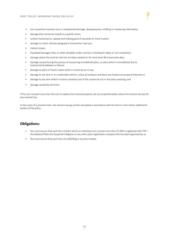- loss caused by inventory loss or unexplained shortage, disappearance, misfiling or misplacing information;
- damage that cannot be traced to a specific event;
- routine maintenance, upkeep and making good of any plant or hired in plant;
- damage to motor vehicles designed or licensed for road use;
- indirect losses;
- liquidated damages, fines or other penalties under contract, including for delay or non-completion;
- damage where the contract site has not been worked on for more than 90 consecutive days;
- damage caused during the process of recovering immobilised plant, or plant which is immobilised due to mechanical breakdown or failure;
- damage to plant or hired in plant whilst in transit by air or sea;
- damage to any item in an unattended vehicle, unless all windows and doors are locked and properly fastened; or
- damage to any item whilst in transit caused by any of the causes set out in the policy wording; and
- damage caused by terrorism.

If the sum insured is less than the cost to replace the covered property, we can proportionately reduce the amount we pay for any covered loss.

In the event of a covered claim, the amount we pay will be calculated in accordance with the terms in the 'claims settlement' section of the policy.

#### **Obligations:**

- You must ensure that each item of plant which an individual sum insured more than £2,500 is registered with TER the National Plant and Equipment Register or any other plant registration company that has been approved by us.
- You must ensure that each item of scaffolding is security marked.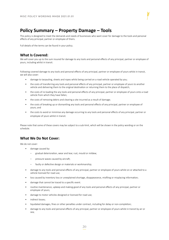# **Policy Summary – Property Damage – Tools**

This policy is designed to meet the demands and needs of businesses who want cover for damage to the tools and personal effects of any principal, partner or employee of theirs.

Full details of the terms can be found in your policy.

## **What Is Covered:**

We will cover you up to the sum insured for damage to any tools and personal effects of any principal, partner or employee of yours, including whilst in transit.

Following covered damage to any tools and personal effects of any principal, partner or employee of yours whilst in transit, we will also cover:

- damage to tarpauling, sheets and ropes whilst being carried on a road vehicle operated by you;
- the costs of transferring any tools and personal effects of any principal, partner or employee of yours to another vehicle and delivering them to the original destination or returning them to the place of dispatch;
- the costs of re-loading the any tools and personal effects of any principal, partner or employee of yours onto a road vehicle from which they have fallen;
- the costs of removing debris and clearing a site incurred as a result of damage;
- the costs of breaking up or dismantling any tools and personal effects of any principal, partner or employee of yours; and
- the costs to avoid or minimise any damage occurring to any tools and personal effects of any principal, partner or employee of yours whilst in transit.

Please note that some of these covers may be subject to a sub-limit, which will be shown in the policy wording or on the schedule.

#### **What We Do Not Cover:**

We do not cover:

- damage caused by:
	- gradual deterioration, wear and tear, rust, mould or mildew;
	- pressure waves caused by aircraft;
	- faulty or defective design or materials or workmanship;
- damage to any tools and personal effects of any principal, partner or employee of yours whilst on or attached to a vehicle licensed for road use;
- loss caused by inventory loss or unexplained shortage, disappearance, misfiling or misplacing information;
- damage that cannot be traced to a specific event.
- routine maintenance, upkeep and making good of any tools and personal effects of any principal, partner or employee of yours;
- damage to motor vehicles designed or licensed for road use;
- indirect losses:
- liquidated damages, fines or other penalties under contract, including for delay or non-completion;
- damage to any tools and personal effects of any principal, partner or employee of yours whilst in transit by air or sea;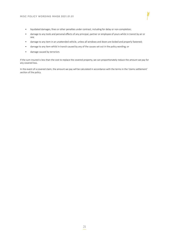- liquidated damages, fines or other penalties under contract, including for delay or non-completion;
- damage to any tools and personal effects of any principal, partner or employee of yours whilst in transit by air or sea;
- damage to any item in an unattended vehicle, unless all windows and doors are locked and properly fastened;
- damage to any item whilst in transit caused by any of the causes set out in the policy wording; or
- damage caused by terrorism.

If the sum insured is less than the cost to replace the covered property, we can proportionately reduce the amount we pay for any covered loss.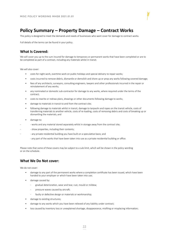# **Policy Summary – Property Damage – Contract Works**

This policy is designed to meet the demands and needs of businesses who want cover for damage to contract works.

Full details of the terms can be found in your policy.

## **What Is Covered:**

We will cover you up to the sum insured for damage to temporary or permanent works that have been completed or are to be completed as part of a contract, including any materials whilst in transit.

We will also cover:

- costs for night work, overtime work on public holidays and special delivery to repair works;
- costs incurred to remove debris, dismantle or demolish and shore up or prop any works following covered damage;
- fees of any architects, surveyors, consulting engineers, lawyers and other professionals incurred in the repair or reinstatement of any works;
- any nominated or domestic sub-contractor for damage to any works, where required under the terms of the contract;
- costs to rewrite or redraw plans, drawings or other documents following damage to works;
- damage to materials in transit to and from the contract site;
- following damage to materials whilst in transit, damage to tarpaulin and ropes on the transit vehicle, costs of transferring materials to another vehicle, costs of re-loading, costs of removing debris and costs of breaking up or dismantling the materials; and
- damage to:
- works and any material stored separately whilst in storage away from the contract site;
- - show properties, including their contents;
	- any private residential building you have built on a speculative basis; and
		- any part of the works that have been taken into use as a private residential building or office.

Please note that some of these covers may be subject to a sub-limit, which will be shown in the policy wording or on the schedule.

## **What We Do Not cover:**

We do not cover:

- damage to any part of the permanent works where a completion certificate has been issued, which have been handed to your employer or which have been taken into use;
- damage caused by:
	- gradual deterioration, wear and tear, rust, mould or mildew;
	- pressure waves caused by aircraft;
	- faulty or defective design or materials or workmanship;
- damage to existing structures;
- damage to any works which you have been relieved of any liability under contract;
- loss caused by inventory loss or unexplained shortage, disappearance, misfiling or misplacing information;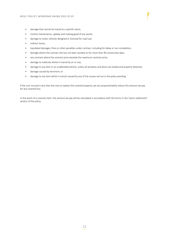- routine maintenance, upkeep and making good of any works;
- damage to motor vehicles designed or licensed for road use;
- indirect losses:
- liquidated damages, fines or other penalties under contract, including for delay or non-completion;
- damage where the contract site has not been worked on for more than 90 consecutive days;
- any contract where the contract price exceeds the maximum contract price;
- damage to materials whilst in transit by air or sea;
- damage to any item in an unattended vehicle, unless all windows and doors are locked and properly fastened;
- damage caused by terrorism; or
- damage to any item whilst in transit caused by any of the causes set out in the policy wording.

If the sum insured is less than the cost to replace the covered property, we can proportionately reduce the amount we pay for any covered loss.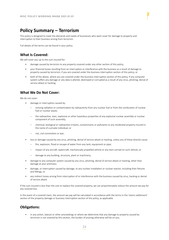# **Policy Summary – Terrorism**

This policy is designed to meet the demands and needs of businesses who want cover for damage to property and interruption to their business arising from terrorism.

Full details of the terms can be found in your policy.

## **What Is Covered:**

We will cover you up to the sum insured for:

- damage caused by terrorism to any property covered under any other section of this policy;
- your financial losses resulting from an interruption or interference with the business as a result of damage to property caused by terrorism, if you are covered under the business interruption section of this policy; or
- both of the above, where you are covered under the business interruption section of this policy, if any computer system suffers any damage or any data is altered, destroyed or corrupted as a result of any virus, phishing, denial of service attack or hacking.

### **What We Do Not Cover:**

We do not cover:

- damage or interruption caused by:
	- ionising radiation or contamination by radioactivity from any nuclear fuel or from the combustion of nuclear fuel or nuclear waste;
	- the radioactive, toxic, explosive or other hazardous properties of any explosive nuclear assembly or nuclear component of such assembly;
	- chemical, biological or radioactive irritants, contaminants or pollutants to any residential property insured in the name of a private individual; or
	- riot, civil commotion or war;
- loss or damage caused by any virus, phishing, denial of service attack or hacking, unless any of these directly cause:
	- fire, explosion, flood or escape of water from any tank, equipment or pipe;
	- impact of any aircraft, watercraft, mechanically propelled vehicle or any item carried on such vehicle; or
	- damage to any building, structure, plant or machinery;
- damage to any computer system caused by any virus, phishing, denial of service attack or hacking, other than damage at your premises;
- damage, or interruption caused by damage, to any nuclear installation or nuclear reactor, including their fixtures and fittings; or
- any indirect losses arising from interruption of or interference with the business caused by virus, hacking or denial of service attack.

If the sum insured is less than the cost to replace the covered property, we can proportionately reduce the amount we pay for any covered loss.

In the event of a covered claim, the amount we pay will be calculated in accordance with the terms in the 'claims settlement' section of the property damage or business interruption section of the policy, as applicable.

## **Obligations:**

• In any action, lawsuit or other proceedings or where we determine that any damage to property caused by terrorism is not covered by this section, the burden of proving otherwise will be on you.